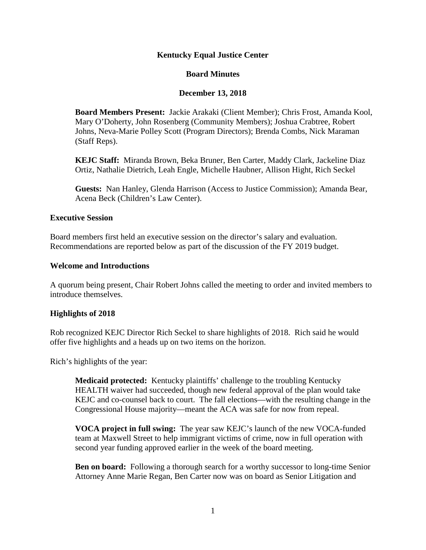## **Kentucky Equal Justice Center**

## **Board Minutes**

## **December 13, 2018**

**Board Members Present:** Jackie Arakaki (Client Member); Chris Frost, Amanda Kool, Mary O'Doherty, John Rosenberg (Community Members); Joshua Crabtree, Robert Johns, Neva-Marie Polley Scott (Program Directors); Brenda Combs, Nick Maraman (Staff Reps).

**KEJC Staff:** Miranda Brown, Beka Bruner, Ben Carter, Maddy Clark, Jackeline Diaz Ortiz, Nathalie Dietrich, Leah Engle, Michelle Haubner, Allison Hight, Rich Seckel

**Guests:** Nan Hanley, Glenda Harrison (Access to Justice Commission); Amanda Bear, Acena Beck (Children's Law Center).

#### **Executive Session**

Board members first held an executive session on the director's salary and evaluation. Recommendations are reported below as part of the discussion of the FY 2019 budget.

#### **Welcome and Introductions**

A quorum being present, Chair Robert Johns called the meeting to order and invited members to introduce themselves.

## **Highlights of 2018**

Rob recognized KEJC Director Rich Seckel to share highlights of 2018. Rich said he would offer five highlights and a heads up on two items on the horizon.

Rich's highlights of the year:

**Medicaid protected:** Kentucky plaintiffs' challenge to the troubling Kentucky HEALTH waiver had succeeded, though new federal approval of the plan would take KEJC and co-counsel back to court. The fall elections—with the resulting change in the Congressional House majority—meant the ACA was safe for now from repeal.

**VOCA project in full swing:** The year saw KEJC's launch of the new VOCA-funded team at Maxwell Street to help immigrant victims of crime, now in full operation with second year funding approved earlier in the week of the board meeting.

**Ben on board:** Following a thorough search for a worthy successor to long-time Senior Attorney Anne Marie Regan, Ben Carter now was on board as Senior Litigation and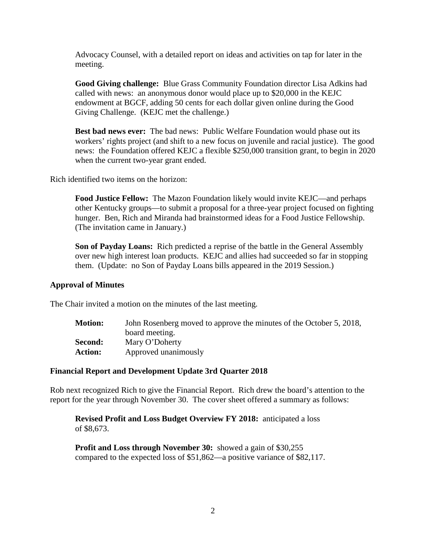Advocacy Counsel, with a detailed report on ideas and activities on tap for later in the meeting.

**Good Giving challenge:** Blue Grass Community Foundation director Lisa Adkins had called with news: an anonymous donor would place up to \$20,000 in the KEJC endowment at BGCF, adding 50 cents for each dollar given online during the Good Giving Challenge. (KEJC met the challenge.)

**Best bad news ever:** The bad news: Public Welfare Foundation would phase out its workers' rights project (and shift to a new focus on juvenile and racial justice). The good news: the Foundation offered KEJC a flexible \$250,000 transition grant, to begin in 2020 when the current two-year grant ended.

Rich identified two items on the horizon:

**Food Justice Fellow:** The Mazon Foundation likely would invite KEJC—and perhaps other Kentucky groups—to submit a proposal for a three-year project focused on fighting hunger. Ben, Rich and Miranda had brainstormed ideas for a Food Justice Fellowship. (The invitation came in January.)

**Son of Payday Loans:** Rich predicted a reprise of the battle in the General Assembly over new high interest loan products. KEJC and allies had succeeded so far in stopping them. (Update: no Son of Payday Loans bills appeared in the 2019 Session.)

## **Approval of Minutes**

The Chair invited a motion on the minutes of the last meeting.

| <b>Motion:</b> | John Rosenberg moved to approve the minutes of the October 5, 2018, |
|----------------|---------------------------------------------------------------------|
|                | board meeting.                                                      |
| Second:        | Mary O'Doherty                                                      |
| <b>Action:</b> | Approved unanimously                                                |

#### **Financial Report and Development Update 3rd Quarter 2018**

Rob next recognized Rich to give the Financial Report. Rich drew the board's attention to the report for the year through November 30. The cover sheet offered a summary as follows:

**Revised Profit and Loss Budget Overview FY 2018:** anticipated a loss of \$8,673.

**Profit and Loss through November 30:** showed a gain of \$30,255 compared to the expected loss of \$51,862—a positive variance of \$82,117.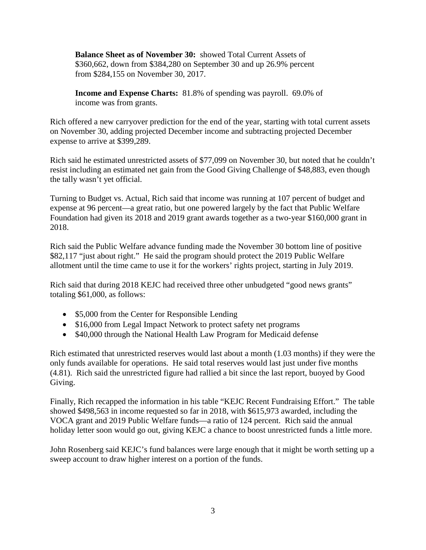**Balance Sheet as of November 30:** showed Total Current Assets of \$360,662, down from \$384,280 on September 30 and up 26.9% percent from \$284,155 on November 30, 2017.

**Income and Expense Charts:** 81.8% of spending was payroll. 69.0% of income was from grants.

Rich offered a new carryover prediction for the end of the year, starting with total current assets on November 30, adding projected December income and subtracting projected December expense to arrive at \$399,289.

Rich said he estimated unrestricted assets of \$77,099 on November 30, but noted that he couldn't resist including an estimated net gain from the Good Giving Challenge of \$48,883, even though the tally wasn't yet official.

Turning to Budget vs. Actual, Rich said that income was running at 107 percent of budget and expense at 96 percent—a great ratio, but one powered largely by the fact that Public Welfare Foundation had given its 2018 and 2019 grant awards together as a two-year \$160,000 grant in 2018.

Rich said the Public Welfare advance funding made the November 30 bottom line of positive \$82,117 "just about right." He said the program should protect the 2019 Public Welfare allotment until the time came to use it for the workers' rights project, starting in July 2019.

Rich said that during 2018 KEJC had received three other unbudgeted "good news grants" totaling \$61,000, as follows:

- \$5,000 from the Center for Responsible Lending
- \$16,000 from Legal Impact Network to protect safety net programs
- \$40,000 through the National Health Law Program for Medicaid defense

Rich estimated that unrestricted reserves would last about a month (1.03 months) if they were the only funds available for operations. He said total reserves would last just under five months (4.81). Rich said the unrestricted figure had rallied a bit since the last report, buoyed by Good Giving.

Finally, Rich recapped the information in his table "KEJC Recent Fundraising Effort." The table showed \$498,563 in income requested so far in 2018, with \$615,973 awarded, including the VOCA grant and 2019 Public Welfare funds—a ratio of 124 percent. Rich said the annual holiday letter soon would go out, giving KEJC a chance to boost unrestricted funds a little more.

John Rosenberg said KEJC's fund balances were large enough that it might be worth setting up a sweep account to draw higher interest on a portion of the funds.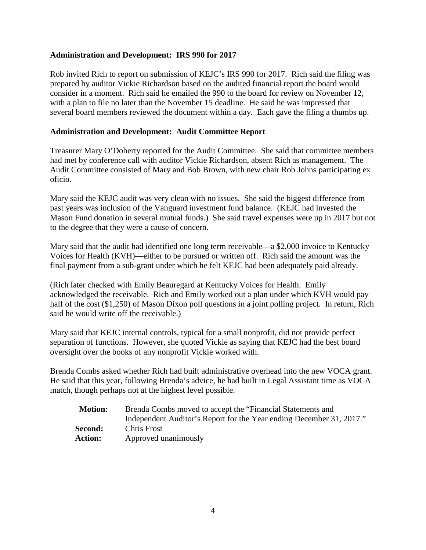## **Administration and Development: IRS 990 for 2017**

Rob invited Rich to report on submission of KEJC's IRS 990 for 2017. Rich said the filing was prepared by auditor Vickie Richardson based on the audited financial report the board would consider in a moment. Rich said he emailed the 990 to the board for review on November 12, with a plan to file no later than the November 15 deadline. He said he was impressed that several board members reviewed the document within a day. Each gave the filing a thumbs up.

## **Administration and Development: Audit Committee Report**

Treasurer Mary O'Doherty reported for the Audit Committee. She said that committee members had met by conference call with auditor Vickie Richardson, absent Rich as management. The Audit Committee consisted of Mary and Bob Brown, with new chair Rob Johns participating ex oficio.

Mary said the KEJC audit was very clean with no issues. She said the biggest difference from past years was inclusion of the Vanguard investment fund balance. (KEJC had invested the Mason Fund donation in several mutual funds.) She said travel expenses were up in 2017 but not to the degree that they were a cause of concern.

Mary said that the audit had identified one long term receivable—a \$2,000 invoice to Kentucky Voices for Health (KVH)—either to be pursued or written off. Rich said the amount was the final payment from a sub-grant under which he felt KEJC had been adequately paid already.

(Rich later checked with Emily Beauregard at Kentucky Voices for Health. Emily acknowledged the receivable. Rich and Emily worked out a plan under which KVH would pay half of the cost (\$1,250) of Mason Dixon poll questions in a joint polling project. In return, Rich said he would write off the receivable.)

Mary said that KEJC internal controls, typical for a small nonprofit, did not provide perfect separation of functions. However, she quoted Vickie as saying that KEJC had the best board oversight over the books of any nonprofit Vickie worked with.

Brenda Combs asked whether Rich had built administrative overhead into the new VOCA grant. He said that this year, following Brenda's advice, he had built in Legal Assistant time as VOCA match, though perhaps not at the highest level possible.

| <b>Motion:</b> | Brenda Combs moved to accept the "Financial Statements and           |
|----------------|----------------------------------------------------------------------|
|                | Independent Auditor's Report for the Year ending December 31, 2017." |
| <b>Second:</b> | Chris Frost                                                          |
| <b>Action:</b> | Approved unanimously                                                 |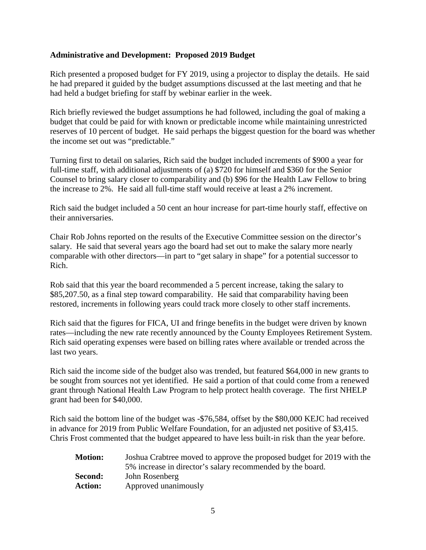## **Administrative and Development: Proposed 2019 Budget**

Rich presented a proposed budget for FY 2019, using a projector to display the details. He said he had prepared it guided by the budget assumptions discussed at the last meeting and that he had held a budget briefing for staff by webinar earlier in the week.

Rich briefly reviewed the budget assumptions he had followed, including the goal of making a budget that could be paid for with known or predictable income while maintaining unrestricted reserves of 10 percent of budget. He said perhaps the biggest question for the board was whether the income set out was "predictable."

Turning first to detail on salaries, Rich said the budget included increments of \$900 a year for full-time staff, with additional adjustments of (a) \$720 for himself and \$360 for the Senior Counsel to bring salary closer to comparability and (b) \$96 for the Health Law Fellow to bring the increase to 2%. He said all full-time staff would receive at least a 2% increment.

Rich said the budget included a 50 cent an hour increase for part-time hourly staff, effective on their anniversaries.

Chair Rob Johns reported on the results of the Executive Committee session on the director's salary. He said that several years ago the board had set out to make the salary more nearly comparable with other directors—in part to "get salary in shape" for a potential successor to Rich.

Rob said that this year the board recommended a 5 percent increase, taking the salary to \$85,207.50, as a final step toward comparability. He said that comparability having been restored, increments in following years could track more closely to other staff increments.

Rich said that the figures for FICA, UI and fringe benefits in the budget were driven by known rates—including the new rate recently announced by the County Employees Retirement System. Rich said operating expenses were based on billing rates where available or trended across the last two years.

Rich said the income side of the budget also was trended, but featured \$64,000 in new grants to be sought from sources not yet identified. He said a portion of that could come from a renewed grant through National Health Law Program to help protect health coverage. The first NHELP grant had been for \$40,000.

Rich said the bottom line of the budget was -\$76,584, offset by the \$80,000 KEJC had received in advance for 2019 from Public Welfare Foundation, for an adjusted net positive of \$3,415. Chris Frost commented that the budget appeared to have less built-in risk than the year before.

| <b>Motion:</b> | Joshua Crabtree moved to approve the proposed budget for 2019 with the |
|----------------|------------------------------------------------------------------------|
|                | 5% increase in director's salary recommended by the board.             |
| Second:        | John Rosenberg                                                         |
| <b>Action:</b> | Approved unanimously                                                   |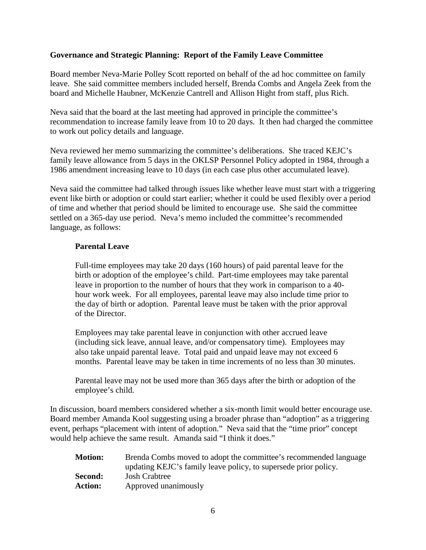## **Governance and Strategic Planning: Report of the Family Leave Committee**

Board member Neva-Marie Polley Scott reported on behalf of the ad hoc committee on family leave. She said committee members included herself, Brenda Combs and Angela Zeek from the board and Michelle Haubner, McKenzie Cantrell and Allison Hight from staff, plus Rich.

Neva said that the board at the last meeting had approved in principle the committee's recommendation to increase family leave from 10 to 20 days. It then had charged the committee to work out policy details and language.

Neva reviewed her memo summarizing the committee's deliberations. She traced KEJC's family leave allowance from 5 days in the OKLSP Personnel Policy adopted in 1984, through a 1986 amendment increasing leave to 10 days (in each case plus other accumulated leave).

Neva said the committee had talked through issues like whether leave must start with a triggering event like birth or adoption or could start earlier; whether it could be used flexibly over a period of time and whether that period should be limited to encourage use. She said the committee settled on a 365-day use period. Neva's memo included the committee's recommended language, as follows:

## **Parental Leave**

Full-time employees may take 20 days (160 hours) of paid parental leave for the birth or adoption of the employee's child. Part-time employees may take parental leave in proportion to the number of hours that they work in comparison to a 40 hour work week. For all employees, parental leave may also include time prior to the day of birth or adoption. Parental leave must be taken with the prior approval of the Director.

Employees may take parental leave in conjunction with other accrued leave (including sick leave, annual leave, and/or compensatory time). Employees may also take unpaid parental leave. Total paid and unpaid leave may not exceed 6 months. Parental leave may be taken in time increments of no less than 30 minutes.

Parental leave may not be used more than 365 days after the birth or adoption of the employee's child.

In discussion, board members considered whether a six-month limit would better encourage use. Board member Amanda Kool suggesting using a broader phrase than "adoption" as a triggering event, perhaps "placement with intent of adoption." Neva said that the "time prior" concept would help achieve the same result. Amanda said "I think it does."

| <b>Motion:</b> | Brenda Combs moved to adopt the committee's recommended language |
|----------------|------------------------------------------------------------------|
|                | updating KEJC's family leave policy, to supersede prior policy.  |
| Second:        | Josh Crabtree                                                    |
| <b>Action:</b> | Approved unanimously                                             |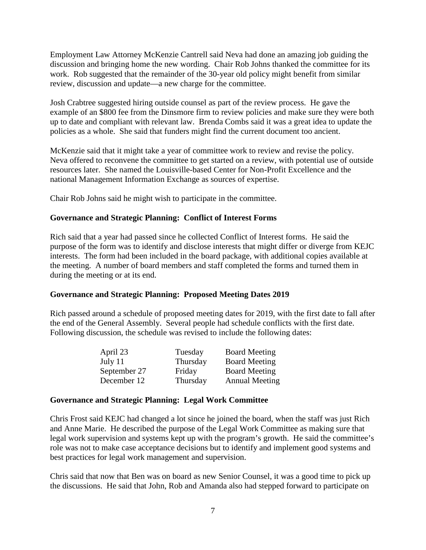Employment Law Attorney McKenzie Cantrell said Neva had done an amazing job guiding the discussion and bringing home the new wording. Chair Rob Johns thanked the committee for its work. Rob suggested that the remainder of the 30-year old policy might benefit from similar review, discussion and update—a new charge for the committee.

Josh Crabtree suggested hiring outside counsel as part of the review process. He gave the example of an \$800 fee from the Dinsmore firm to review policies and make sure they were both up to date and compliant with relevant law. Brenda Combs said it was a great idea to update the policies as a whole. She said that funders might find the current document too ancient.

McKenzie said that it might take a year of committee work to review and revise the policy. Neva offered to reconvene the committee to get started on a review, with potential use of outside resources later. She named the Louisville-based Center for Non-Profit Excellence and the national Management Information Exchange as sources of expertise.

Chair Rob Johns said he might wish to participate in the committee.

## **Governance and Strategic Planning: Conflict of Interest Forms**

Rich said that a year had passed since he collected Conflict of Interest forms. He said the purpose of the form was to identify and disclose interests that might differ or diverge from KEJC interests. The form had been included in the board package, with additional copies available at the meeting. A number of board members and staff completed the forms and turned them in during the meeting or at its end.

## **Governance and Strategic Planning: Proposed Meeting Dates 2019**

Rich passed around a schedule of proposed meeting dates for 2019, with the first date to fall after the end of the General Assembly. Several people had schedule conflicts with the first date. Following discussion, the schedule was revised to include the following dates:

| April 23     | Tuesday  | <b>Board Meeting</b>  |
|--------------|----------|-----------------------|
| July 11      | Thursday | <b>Board Meeting</b>  |
| September 27 | Friday   | <b>Board Meeting</b>  |
| December 12  | Thursday | <b>Annual Meeting</b> |

## **Governance and Strategic Planning: Legal Work Committee**

Chris Frost said KEJC had changed a lot since he joined the board, when the staff was just Rich and Anne Marie. He described the purpose of the Legal Work Committee as making sure that legal work supervision and systems kept up with the program's growth. He said the committee's role was not to make case acceptance decisions but to identify and implement good systems and best practices for legal work management and supervision.

Chris said that now that Ben was on board as new Senior Counsel, it was a good time to pick up the discussions. He said that John, Rob and Amanda also had stepped forward to participate on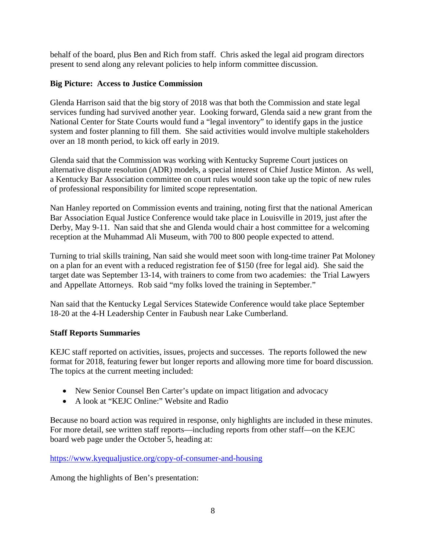behalf of the board, plus Ben and Rich from staff. Chris asked the legal aid program directors present to send along any relevant policies to help inform committee discussion.

## **Big Picture: Access to Justice Commission**

Glenda Harrison said that the big story of 2018 was that both the Commission and state legal services funding had survived another year. Looking forward, Glenda said a new grant from the National Center for State Courts would fund a "legal inventory" to identify gaps in the justice system and foster planning to fill them. She said activities would involve multiple stakeholders over an 18 month period, to kick off early in 2019.

Glenda said that the Commission was working with Kentucky Supreme Court justices on alternative dispute resolution (ADR) models, a special interest of Chief Justice Minton. As well, a Kentucky Bar Association committee on court rules would soon take up the topic of new rules of professional responsibility for limited scope representation.

Nan Hanley reported on Commission events and training, noting first that the national American Bar Association Equal Justice Conference would take place in Louisville in 2019, just after the Derby, May 9-11. Nan said that she and Glenda would chair a host committee for a welcoming reception at the Muhammad Ali Museum, with 700 to 800 people expected to attend.

Turning to trial skills training, Nan said she would meet soon with long-time trainer Pat Moloney on a plan for an event with a reduced registration fee of \$150 (free for legal aid). She said the target date was September 13-14, with trainers to come from two academies: the Trial Lawyers and Appellate Attorneys. Rob said "my folks loved the training in September."

Nan said that the Kentucky Legal Services Statewide Conference would take place September 18-20 at the 4-H Leadership Center in Faubush near Lake Cumberland.

## **Staff Reports Summaries**

KEJC staff reported on activities, issues, projects and successes. The reports followed the new format for 2018, featuring fewer but longer reports and allowing more time for board discussion. The topics at the current meeting included:

- New Senior Counsel Ben Carter's update on impact litigation and advocacy
- A look at "KEJC Online:" Website and Radio

Because no board action was required in response, only highlights are included in these minutes. For more detail, see written staff reports—including reports from other staff—on the KEJC board web page under the October 5, heading at:

<https://www.kyequaljustice.org/copy-of-consumer-and-housing>

Among the highlights of Ben's presentation: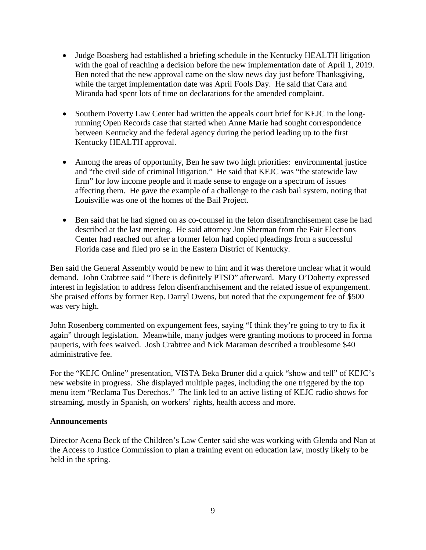- Judge Boasberg had established a briefing schedule in the Kentucky HEALTH litigation with the goal of reaching a decision before the new implementation date of April 1, 2019. Ben noted that the new approval came on the slow news day just before Thanksgiving, while the target implementation date was April Fools Day. He said that Cara and Miranda had spent lots of time on declarations for the amended complaint.
- Southern Poverty Law Center had written the appeals court brief for KEJC in the longrunning Open Records case that started when Anne Marie had sought correspondence between Kentucky and the federal agency during the period leading up to the first Kentucky HEALTH approval.
- Among the areas of opportunity, Ben he saw two high priorities: environmental justice and "the civil side of criminal litigation." He said that KEJC was "the statewide law firm" for low income people and it made sense to engage on a spectrum of issues affecting them. He gave the example of a challenge to the cash bail system, noting that Louisville was one of the homes of the Bail Project.
- Ben said that he had signed on as co-counsel in the felon disenfranchisement case he had described at the last meeting. He said attorney Jon Sherman from the Fair Elections Center had reached out after a former felon had copied pleadings from a successful Florida case and filed pro se in the Eastern District of Kentucky.

Ben said the General Assembly would be new to him and it was therefore unclear what it would demand. John Crabtree said "There is definitely PTSD" afterward. Mary O'Doherty expressed interest in legislation to address felon disenfranchisement and the related issue of expungement. She praised efforts by former Rep. Darryl Owens, but noted that the expungement fee of \$500 was very high.

John Rosenberg commented on expungement fees, saying "I think they're going to try to fix it again" through legislation. Meanwhile, many judges were granting motions to proceed in forma pauperis, with fees waived. Josh Crabtree and Nick Maraman described a troublesome \$40 administrative fee.

For the "KEJC Online" presentation, VISTA Beka Bruner did a quick "show and tell" of KEJC's new website in progress. She displayed multiple pages, including the one triggered by the top menu item "Reclama Tus Derechos." The link led to an active listing of KEJC radio shows for streaming, mostly in Spanish, on workers' rights, health access and more.

## **Announcements**

Director Acena Beck of the Children's Law Center said she was working with Glenda and Nan at the Access to Justice Commission to plan a training event on education law, mostly likely to be held in the spring.